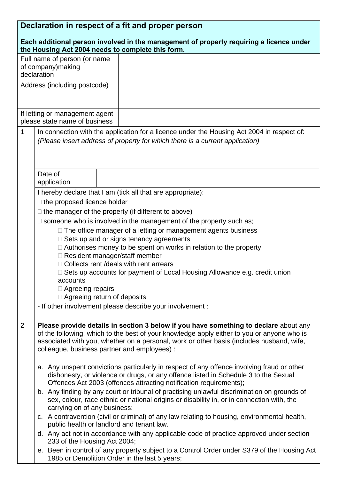| Declaration in respect of a fit and proper person                                                                                            |                                                                                                                                                                   |  |
|----------------------------------------------------------------------------------------------------------------------------------------------|-------------------------------------------------------------------------------------------------------------------------------------------------------------------|--|
| Each additional person involved in the management of property requiring a licence under<br>the Housing Act 2004 needs to complete this form. |                                                                                                                                                                   |  |
|                                                                                                                                              | Full name of person (or name                                                                                                                                      |  |
|                                                                                                                                              | of company) making                                                                                                                                                |  |
| declaration                                                                                                                                  |                                                                                                                                                                   |  |
|                                                                                                                                              | Address (including postcode)                                                                                                                                      |  |
|                                                                                                                                              |                                                                                                                                                                   |  |
| If letting or management agent                                                                                                               |                                                                                                                                                                   |  |
| please state name of business                                                                                                                |                                                                                                                                                                   |  |
| 1                                                                                                                                            | In connection with the application for a licence under the Housing Act 2004 in respect of:                                                                        |  |
|                                                                                                                                              | (Please insert address of property for which there is a current application)                                                                                      |  |
|                                                                                                                                              |                                                                                                                                                                   |  |
|                                                                                                                                              |                                                                                                                                                                   |  |
|                                                                                                                                              | Date of                                                                                                                                                           |  |
|                                                                                                                                              | application                                                                                                                                                       |  |
|                                                                                                                                              | I hereby declare that I am (tick all that are appropriate):                                                                                                       |  |
|                                                                                                                                              | $\Box$ the proposed licence holder                                                                                                                                |  |
|                                                                                                                                              | $\Box$ the manager of the property (if different to above)                                                                                                        |  |
|                                                                                                                                              | $\Box$ someone who is involved in the management of the property such as;                                                                                         |  |
|                                                                                                                                              | $\Box$ The office manager of a letting or management agents business                                                                                              |  |
|                                                                                                                                              | $\Box$ Sets up and or signs tenancy agreements<br>$\Box$ Authorises money to be spent on works in relation to the property                                        |  |
|                                                                                                                                              | □ Resident manager/staff member                                                                                                                                   |  |
|                                                                                                                                              | □ Collects rent /deals with rent arrears                                                                                                                          |  |
|                                                                                                                                              | □ Sets up accounts for payment of Local Housing Allowance e.g. credit union                                                                                       |  |
|                                                                                                                                              | accounts<br>$\Box$ Agreeing repairs                                                                                                                               |  |
|                                                                                                                                              | $\Box$ Agreeing return of deposits                                                                                                                                |  |
|                                                                                                                                              | - If other involvement please describe your involvement :                                                                                                         |  |
|                                                                                                                                              |                                                                                                                                                                   |  |
| $\overline{2}$                                                                                                                               | Please provide details in section 3 below if you have something to declare about any                                                                              |  |
|                                                                                                                                              | of the following, which to the best of your knowledge apply either to you or anyone who is                                                                        |  |
|                                                                                                                                              | associated with you, whether on a personal, work or other basis (includes husband, wife,<br>colleague, business partner and employees) :                          |  |
|                                                                                                                                              |                                                                                                                                                                   |  |
|                                                                                                                                              | a. Any unspent convictions particularly in respect of any offence involving fraud or other                                                                        |  |
|                                                                                                                                              | dishonesty, or violence or drugs, or any offence listed in Schedule 3 to the Sexual                                                                               |  |
|                                                                                                                                              | Offences Act 2003 (offences attracting notification requirements);<br>b. Any finding by any court or tribunal of practising unlawful discrimination on grounds of |  |
|                                                                                                                                              | sex, colour, race ethnic or national origins or disability in, or in connection with, the                                                                         |  |
|                                                                                                                                              | carrying on of any business:                                                                                                                                      |  |
|                                                                                                                                              | c. A contravention (civil or criminal) of any law relating to housing, environmental health,                                                                      |  |
|                                                                                                                                              | public health or landlord and tenant law.<br>d. Any act not in accordance with any applicable code of practice approved under section                             |  |
|                                                                                                                                              | 233 of the Housing Act 2004;                                                                                                                                      |  |
|                                                                                                                                              | e. Been in control of any property subject to a Control Order under S379 of the Housing Act                                                                       |  |
|                                                                                                                                              | 1985 or Demolition Order in the last 5 years;                                                                                                                     |  |